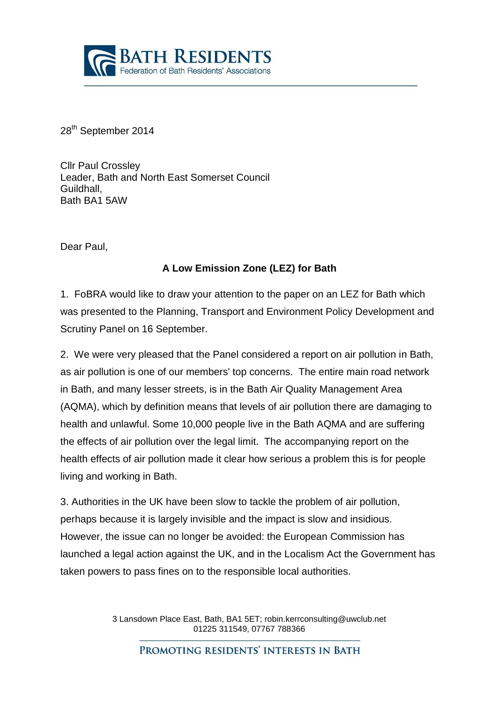

28<sup>th</sup> September 2014

Cllr Paul Crossley Leader, Bath and North East Somerset Council Guildhall, Bath BA1 5AW

Dear Paul,

## **A Low Emission Zone (LEZ) for Bath**

1. FoBRA would like to draw your attention to the paper on an LEZ for Bath which was presented to the Planning, Transport and Environment Policy Development and Scrutiny Panel on 16 September.

2. We were very pleased that the Panel considered a report on air pollution in Bath, as air pollution is one of our members' top concerns. The entire main road network in Bath, and many lesser streets, is in the Bath Air Quality Management Area (AQMA), which by definition means that levels of air pollution there are damaging to health and unlawful. Some 10,000 people live in the Bath AQMA and are suffering the effects of air pollution over the legal limit. The accompanying report on the health effects of air pollution made it clear how serious a problem this is for people living and working in Bath.

3. Authorities in the UK have been slow to tackle the problem of air pollution, perhaps because it is largely invisible and the impact is slow and insidious. However, the issue can no longer be avoided: the European Commission has launched a legal action against the UK, and in the Localism Act the Government has taken powers to pass fines on to the responsible local authorities.

> 3 Lansdown Place East, Bath, BA1 5ET; robin.kerrconsulting@uwclub.net 01225 311549, 07767 788366

PROMOTING RESIDENTS' INTERESTS IN BATH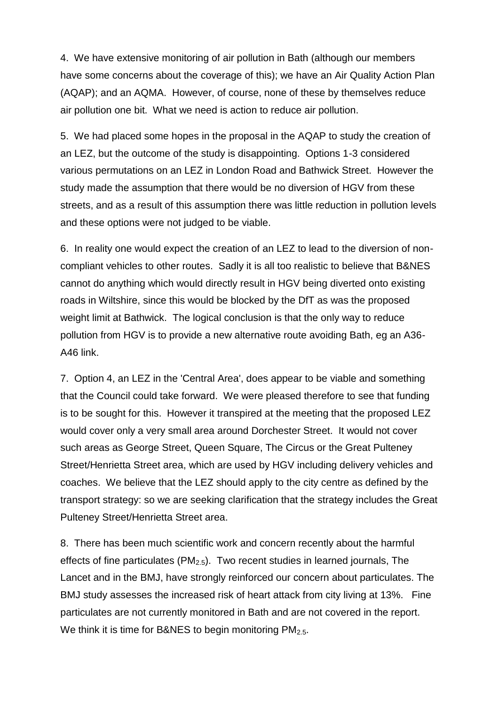4. We have extensive monitoring of air pollution in Bath (although our members have some concerns about the coverage of this); we have an Air Quality Action Plan (AQAP); and an AQMA. However, of course, none of these by themselves reduce air pollution one bit. What we need is action to reduce air pollution.

5. We had placed some hopes in the proposal in the AQAP to study the creation of an LEZ, but the outcome of the study is disappointing. Options 1-3 considered various permutations on an LEZ in London Road and Bathwick Street. However the study made the assumption that there would be no diversion of HGV from these streets, and as a result of this assumption there was little reduction in pollution levels and these options were not judged to be viable.

6. In reality one would expect the creation of an LEZ to lead to the diversion of noncompliant vehicles to other routes. Sadly it is all too realistic to believe that B&NES cannot do anything which would directly result in HGV being diverted onto existing roads in Wiltshire, since this would be blocked by the DfT as was the proposed weight limit at Bathwick. The logical conclusion is that the only way to reduce pollution from HGV is to provide a new alternative route avoiding Bath, eg an A36- A46 link.

7. Option 4, an LEZ in the 'Central Area', does appear to be viable and something that the Council could take forward. We were pleased therefore to see that funding is to be sought for this. However it transpired at the meeting that the proposed LEZ would cover only a very small area around Dorchester Street. It would not cover such areas as George Street, Queen Square, The Circus or the Great Pulteney Street/Henrietta Street area, which are used by HGV including delivery vehicles and coaches. We believe that the LEZ should apply to the city centre as defined by the transport strategy: so we are seeking clarification that the strategy includes the Great Pulteney Street/Henrietta Street area.

8. There has been much scientific work and concern recently about the harmful effects of fine particulates ( $PM<sub>2.5</sub>$ ). Two recent studies in learned journals, The Lancet and in the BMJ, have strongly reinforced our concern about particulates. The BMJ study assesses the increased risk of heart attack from city living at 13%. Fine particulates are not currently monitored in Bath and are not covered in the report. We think it is time for B&NES to begin monitoring  $PM<sub>2.5</sub>$ .